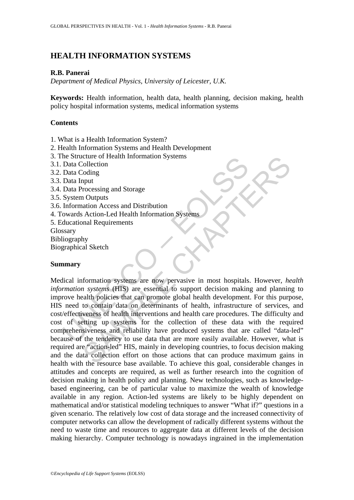# **HEALTH INFORMATION SYSTEMS**

# **R.B. Panerai**

*Department of Medical Physics, University of Leicester, U.K.* 

**Keywords:** Health information, health data, health planning, decision making, health policy hospital information systems, medical information systems

# **Contents**

- 1. What is a Health Information System?
- 2. Health Information Systems and Health Development
- 3. The Structure of Health Information Systems
- 3.1. Data Collection
- 3.2. Data Coding
- 3.3. Data Input
- 3.4. Data Processing and Storage
- 3.5. System Outputs
- 3.6. Information Access and Distribution
- 4. Towards Action-Led Health Information Systems
- 5. Educational Requirements
- **Glossary**
- Bibliography
- Biographical Sketch

# **Summary**

The Structure of Health Information Systems<br>
Data Collection<br>
Data Collection<br>
Data Collection<br>
Data Input<br>
Data Processing and Storage<br>
System Outputs<br>
Information Access and Distribution<br>
ducational Requirements<br>
ducatio Culture of Health Information Systems<br>
Collection<br>
Collection<br>
Collection<br>
Collection<br>
Access and Distribution<br>
Access and Distribution<br>
Access and Distribution<br>
Access and Distribution<br>
Access and Distribution<br>
Ny<br>
al Ske Medical information systems are now pervasive in most hospitals. However, *health information systems* (HIS) are essential to support decision making and planning to improve health policies that can promote global health development. For this purpose, HIS need to contain data on determinants of health, infrastructure of services, and cost/effectiveness of health interventions and health care procedures. The difficulty and cost of setting up systems for the collection of these data with the required comprehensiveness and reliability have produced systems that are called "data-led" because of the tendency to use data that are more easily available. However, what is required are "action-led" HIS, mainly in developing countries, to focus decision making and the data collection effort on those actions that can produce maximum gains in health with the resource base available. To achieve this goal, considerable changes in attitudes and concepts are required, as well as further research into the cognition of decision making in health policy and planning. New technologies, such as knowledgebased engineering, can be of particular value to maximize the wealth of knowledge available in any region. Action-led systems are likely to be highly dependent on mathematical and/or statistical modeling techniques to answer "What if?" questions in a given scenario. The relatively low cost of data storage and the increased connectivity of computer networks can allow the development of radically different systems without the need to waste time and resources to aggregate data at different levels of the decision making hierarchy. Computer technology is nowadays ingrained in the implementation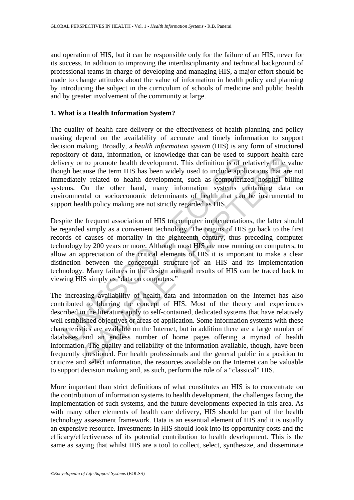and operation of HIS, but it can be responsible only for the failure of an HIS, never for its success. In addition to improving the interdisciplinarity and technical background of professional teams in charge of developing and managing HIS, a major effort should be made to change attitudes about the value of information in health policy and planning by introducing the subject in the curriculum of schools of medicine and public health and by greater involvement of the community at large.

### **1. What is a Health Information System?**

The quality of health care delivery or the effectiveness of health planning and policy making depend on the availability of accurate and timely information to support decision making. Broadly, a *health information system* (HIS) is any form of structured repository of data, information, or knowledge that can be used to support health care delivery or to promote health development. This definition is of relatively little value though because the term HIS has been widely used to include applications that are not immediately related to health development, such as computerized hospital billing systems. On the other hand, many information systems containing data on environmental or socioeconomic determinants of health that can be instrumental to support health policy making are not strictly regarded as HIS.

Show over the consideration of a material streamed the theorem over yo to promote health development. This definition is of religible because the term HIS has been widely used to include applicediately related to health de Despite the frequent association of HIS to computer implementations, the latter should be regarded simply as a convenient technology. The origins of HIS go back to the first records of causes of mortality in the eighteenth century, thus preceding computer technology by 200 years or more. Although most HIS are now running on computers, to allow an appreciation of the critical elements of HIS it is important to make a clear distinction between the conceptual structure of an HIS and its implementation technology. Many failures in the design and end results of HIS can be traced back to viewing HIS simply as "data on computers."

or dual, information, or showtvare unit of the descent of the promote health development. This definition is of relatively liftle v is to promote health development, such as computerized hospital bild and the other hand, The increasing availability of health data and information on the Internet has also contributed to blurring the concept of HIS. Most of the theory and experiences described in the literature apply to self-contained, dedicated systems that have relatively well established objectives or areas of application. Some information systems with these characteristics are available on the Internet, but in addition there are a large number of databases and an endless number of home pages offering a myriad of health information. The quality and reliability of the information available, though, have been frequently questioned. For health professionals and the general public in a position to criticize and select information, the resources available on the Internet can be valuable to support decision making and, as such, perform the role of a "classical" HIS.

More important than strict definitions of what constitutes an HIS is to concentrate on the contribution of information systems to health development, the challenges facing the implementation of such systems, and the future developments expected in this area. As with many other elements of health care delivery, HIS should be part of the health technology assessment framework. Data is an essential element of HIS and it is usually an expensive resource. Investments in HIS should look into its opportunity costs and the efficacy/effectiveness of its potential contribution to health development. This is the same as saying that whilst HIS are a tool to collect, select, synthesize, and disseminate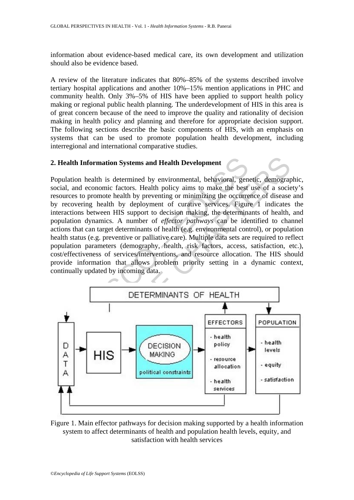information about evidence-based medical care, its own development and utilization should also be evidence based.

A review of the literature indicates that 80%–85% of the systems described involve tertiary hospital applications and another 10%–15% mention applications in PHC and community health. Only 3%–5% of HIS have been applied to support health policy making or regional public health planning. The underdevelopment of HIS in this area is of great concern because of the need to improve the quality and rationality of decision making in health policy and planning and therefore for appropriate decision support. The following sections describe the basic components of HIS, with an emphasis on systems that can be used to promote population health development, including interregional and international comparative studies.

### **2. Health Information Systems and Health Development**

**EXECUTE:**<br> **EXECUTE:**<br> **EXECUTE:**<br> **EXECUTE:**<br> **EXECUTE:**<br> **EXECUTE:**<br> **EXECUTE:**<br> **EXECUTE:**<br> **EXECUTE:**<br> **EXECUTE:**<br> **EXECUTE:**<br> **EXECUTE:**<br> **EXECUTE:**<br> **EXECUTE:**<br> **EXECUTE:**<br> **EXECUTE:**<br> **EXECUTE:**<br> **EXECUTE:**<br> **EXEC** EXERCISE THREET TORS THIS DECISION<br>
THE CHARL THE CHAPTER TO THE CHARL THE CREATED TO THE CHARL THE CREATED TO THE CHAPTER THE CHAPTER THE CHARL TH<br>
THIS DEPENDENCE THE CHAPTER THE CHAPTER THE CHAPTER OF A NUMBER OF A DIME Population health is determined by environmental, behavioral, genetic, demographic, social, and economic factors. Health policy aims to make the best use of a society's resources to promote health by preventing or minimizing the occurrence of disease and by recovering health by deployment of curative services. Figure 1 indicates the interactions between HIS support to decision making, the determinants of health, and population dynamics. A number of *effector pathways* can be identified to channel actions that can target determinants of health (e.g. environmental control), or population health status (e.g. preventive or palliative care). Multiple data sets are required to reflect population parameters (demography, health, risk factors, access, satisfaction, etc.), cost/effectiveness of services/interventions, and resource allocation. The HIS should provide information that allows problem priority setting in a dynamic context, continually updated by incoming data.



Figure 1. Main effector pathways for decision making supported by a health information system to affect determinants of health and population health levels, equity, and satisfaction with health services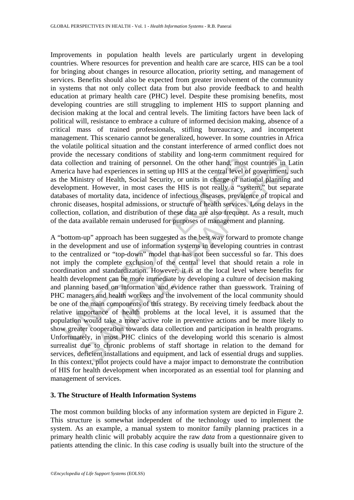Improvements in population health levels are particularly urgent in developing countries. Where resources for prevention and health care are scarce, HIS can be a tool for bringing about changes in resource allocation, priority setting, and management of services. Benefits should also be expected from greater involvement of the community in systems that not only collect data from but also provide feedback to and health education at primary health care (PHC) level. Despite these promising benefits, most developing countries are still struggling to implement HIS to support planning and decision making at the local and central levels. The limiting factors have been lack of political will, resistance to embrace a culture of informed decision making, absence of a critical mass of trained professionals, stifling bureaucracy, and incompetent management. This scenario cannot be generalized, however. In some countries in Africa the volatile political situation and the constant interference of armed conflict does not provide the necessary conditions of stability and long-term commitment required for data collection and training of personnel. On the other hand, most countries in Latin America have had experiences in setting up HIS at the central level of government, such as the Ministry of Health, Social Security, or units in charge of national planning and development. However, in most cases the HIS is not really a "system," but separate databases of mortality data, incidence of infectious diseases, prevalence of tropical and chronic diseases, hospital admissions, or structure of health services. Long delays in the collection, collation, and distribution of these data are also frequent. As a result, much of the data available remain underused for purposes of management and planning.

Free the constant of being the control and training of personnel. On the other hand, most collection and training of personnel. On the other hand, most reirca have had experiences in setting up HIS at the central level of near or the complete exclusion or standing and inerget and mediation and training of personnel. On the other hand, most countries in I are alwe had experiences in setting up HIS at the central level of government, sistry o A "bottom-up" approach has been suggested as the best way forward to promote change in the development and use of information systems in developing countries in contrast to the centralized or "top-down" model that has not been successful so far. This does not imply the complete exclusion of the central level that should retain a role in coordination and standardization. However, it is at the local level where benefits for health development can be more immediate by developing a culture of decision making and planning based on information and evidence rather than guesswork. Training of PHC managers and health workers and the involvement of the local community should be one of the main components of this strategy. By receiving timely feedback about the relative importance of health problems at the local level, it is assumed that the population would take a more active role in preventive actions and be more likely to show greater cooperation towards data collection and participation in health programs. Unfortunately, in most PHC clinics of the developing world this scenario is almost surrealist due to chronic problems of staff shortage in relation to the demand for services, deficient installations and equipment, and lack of essential drugs and supplies. In this context, pilot projects could have a major impact to demonstrate the contribution of HIS for health development when incorporated as an essential tool for planning and management of services.

### **3. The Structure of Health Information Systems**

The most common building blocks of any information system are depicted in Figure 2. This structure is somewhat independent of the technology used to implement the system. As an example, a manual system to monitor family planning practices in a primary health clinic will probably acquire the raw *data* from a questionnaire given to patients attending the clinic. In this case *coding* is usually built into the structure of the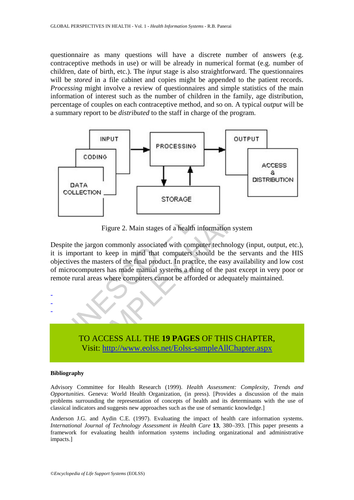questionnaire as many questions will have a discrete number of answers (e.g. contraceptive methods in use) or will be already in numerical format (e.g. number of children, date of birth, etc.). The *input* stage is also straightforward. The questionnaires will be *stored* in a file cabinet and copies might be appended to the patient records. *Processing* might involve a review of questionnaires and simple statistics of the main information of interest such as the number of children in the family, age distribution, percentage of couples on each contraceptive method, and so on. A typical *output* will be a summary report to be *distributed* to the staff in charge of the program.



Figure 2. Main stages of a health information system

Despite the jargon commonly associated with computer technology (input, output, etc.). it is important to keep in mind that computers should be the servants and the HIS objectives the masters of the final product. In practice, the easy availability and low cost of microcomputers has made manual systems a thing of the past except in very poor or remote rural areas where computers cannot be afforded or adequately maintained.



#### **Bibliography**

- - -

Advisory Committee for Health Research (1999). *Health Assessment: Complexity, Trends and Opportunities*. Geneva: World Health Organization, (in press). [Provides a discussion of the main problems surrounding the representation of concepts of health and its determinants with the use of classical indicators and suggests new approaches such as the use of semantic knowledge.]

Anderson J.G. and Aydin C.E. (1997). Evaluating the impact of health care information systems. *International Journal of Technology Assessment in Health Care* **13**, 380–393. [This paper presents a framework for evaluating health information systems including organizational and administrative impacts.]